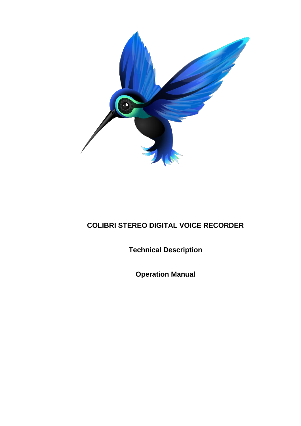

# **COLIBRI STEREO DIGITAL VOICE RECORDER**

**Technical Description**

**Operation Manual**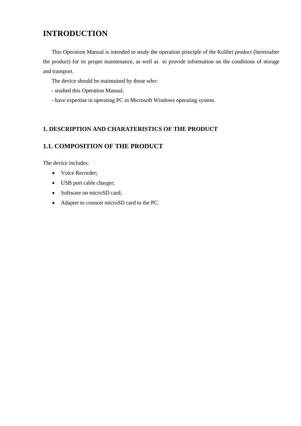# **INTRODUCTION**

This Operation Manual is intended to study the operation principle of the Kolibri product (hereinafter the product) for its proper maintenance, as well as to provide information on the conditions of storage and transport.

The device should be maintained by those who:

- studied this Operation Manual;

- have expertise in operating PC in Microsoft Windows operating system.

## **1. DESCRIPTION AND CHARATERISTICS OF THE PRODUCT**

## **1.1. COMPOSITION OF THE PRODUCT**

The device includes:

- Voice Recorder;
- USB port cable charger;
- Software on microSD card;
- Adapter to conncet microSD card to the PC.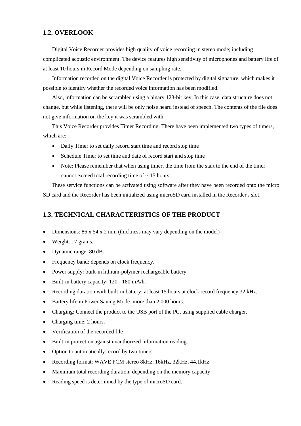#### **1.2. OVERLOOK**

Digital Voice Recorder provides high quality of voice recording in stereo mode; including complicated acoustic environment. The device features high sensitivity of microphones and battery life of at least 10 hours in Record Mode depending on sampling rate.

Information recorded on the digital Voice Recorder is protected by digital signature, which makes it possible to identify whether the recorded voice information has been modified.

Also, information can be scrambled using a binary 128-bit key. In this case, data structure does not change, but while listening, there will be only noise heard instead of speech. The contents of the file does not give information on the key it was scrambled with.

This Voice Recorder provides Timer Recording. There have been implemented two types of timers, which are:

- Daily Timer to set daily record start time and record stop time
- Schedule Timer to set time and date of record start and stop time
- Note: Please remember that when using timer, the time from the start to the end of the timer cannot exceed total recording time of  $\sim$  15 hours.

These service functions can be activated using software after they have been recorded onto the micro SD card and the Recorder has been initialized using microSD card installed in the Recorder's slot.

## **1.3. TECHNICAL CHARACTERISTICS OF THE PRODUCT**

- Dimensions: 86 x 54 x 2 mm (thickness may vary depending on the model)
- Weight: 17 grams.
- Dynamic range: 80 dB.
- Frequency band: depends on clock frequency.
- Power supply: built-in lithium-polymer rechargeable battery.
- Built-in battery capacity: 120 180 mA/h.
- Recording duration with built-in battery: at least 15 hours at clock record frequency 32 kHz.
- Battery life in Power Saving Mode: more than 2,000 hours.
- Charging: Connect the product to the USB port of the PC, using supplied cable charger.
- Charging time: 2 hours.
- Verification of the recorded file
- Built-in protection against unauthorized information reading.
- Option to automatically record by two timers.
- Recording format: WAVE PCM stereo 8kHz, 16kHz, 32kHz, 44.1kHz.
- Maximum total recording duration: depending on the memory capacity
- Reading speed is determined by the type of microSD card.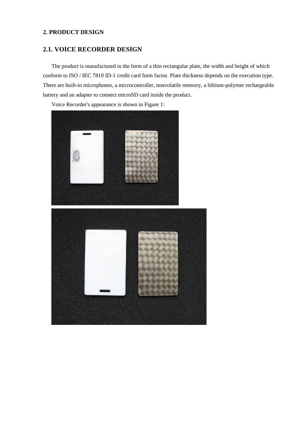## **2. PRODUCT DESIGN**

# **2.1. VOICE RECORDER DESIGN**

The product is manufactured in the form of a thin rectangular plate, the width and height of which conform to ISO / IEC 7810 ID-1 credit card form factor. Plate thickness depends on the execution type. There are built-in microphones, a microcontroller, nonvolatile memory, a lithium-polymer rechargeable battery and an adapter to connect microSD card inside the product.

Voice Recorder's appearance is shown in Figure 1:

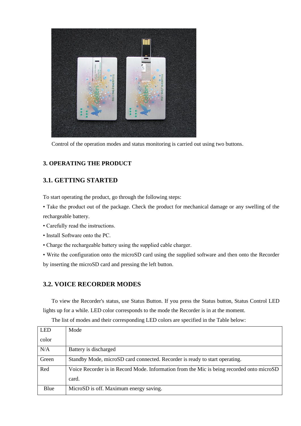

Control of the operation modes and status monitoring is carried out using two buttons.

## **3. OPERATING THE PRODUCT**

# **3.1. GETTING STARTED**

To start operating the product, go through the following steps:

• Take the product out of the package. Check the product for mechanical damage or any swelling of the rechargeable battery.

- Carefully read the instructions.
- Install Software onto the PC.
- Charge the rechargeable battery using the supplied cable charger.

• Write the configuration onto the microSD card using the supplied software and then onto the Recorder by inserting the microSD card and pressing the left button.

## **3.2. VOICE RECORDER MODES**

To view the Recorder's status, use Status Button. If you press the Status button, Status Control LED lights up for a while. LED color corresponds to the mode the Recorder is in at the moment.

| <b>LED</b> | Mode                                                                                      |
|------------|-------------------------------------------------------------------------------------------|
|            |                                                                                           |
| color      |                                                                                           |
|            |                                                                                           |
| N/A        | Battery is discharged                                                                     |
|            |                                                                                           |
| Green      | Standby Mode, microSD card connected. Recorder is ready to start operating.               |
|            |                                                                                           |
| Red        | Voice Recorder is in Record Mode. Information from the Mic is being recorded onto microSD |
|            |                                                                                           |
|            | card.                                                                                     |
|            |                                                                                           |
| Blue       | MicroSD is off. Maximum energy saving.                                                    |
|            |                                                                                           |
|            |                                                                                           |

The list of modes and their corresponding LED colors are specified in the Table below: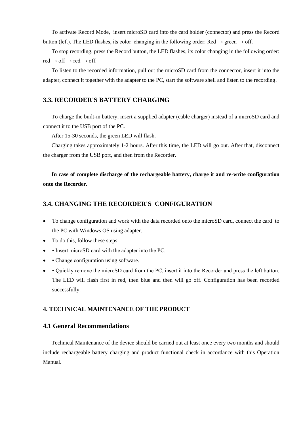To activate Record Mode, insert microSD card into the card holder (connector) and press the Record button (left). The LED flashes, its color changing in the following order: Red  $\rightarrow$  green  $\rightarrow$  off.

To stop recording, press the Record button, the LED flashes, its color changing in the following order:  $red \rightarrow off \rightarrow red \rightarrow off.$ 

To listen to the recorded information, pull out the microSD card from the connector, insert it into the adapter, connect it together with the adapter to the PC, start the software shell and listen to the recording.

#### **3.3. RECORDER'S BATTERY CHARGING**

To charge the built-in battery, insert a supplied adapter (cable charger) instead of a microSD card and connect it to the USB port of the PC.

After 15-30 seconds, the green LED will flash.

Charging takes approximately 1-2 hours. After this time, the LED will go out. After that, disconnect the charger from the USB port, and then from the Recorder.

**In case of complete discharge of the rechargeable battery, charge it and re-write configuration onto the Recorder.** 

## **3.4. CHANGING THE RECORDER'S CONFIGURATION**

- To change configuration and work with the data recorded onto the microSD card, connect the card to the PC with Windows OS using adapter.
- To do this, follow these steps:
- Insert microSD card with the adapter into the PC.
- • Change configuration using software.
- • Quickly remove the microSD card from the PC, insert it into the Recorder and press the left button. The LED will flash first in red, then blue and then will go off. Configuration has been recorded successfully.

#### **4. TECHNICAL MAINTENANCE OF THE PRODUCT**

#### **4.1 General Recommendations**

Technical Maintenance of the device should be carried out at least once every two months and should include rechargeable battery charging and product functional check in accordance with this Operation Manual.